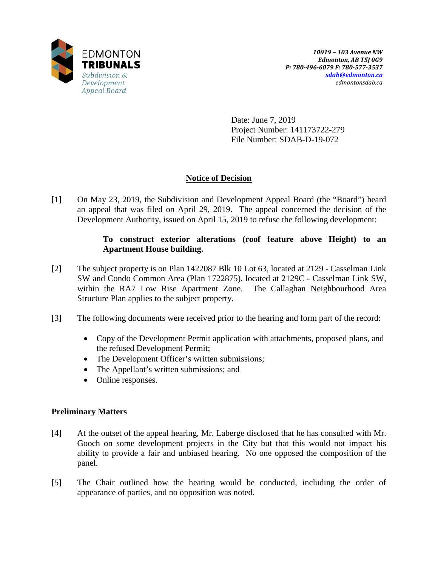

Date: June 7, 2019 Project Number: 141173722-279 File Number: SDAB-D-19-072

## **Notice of Decision**

[1] On May 23, 2019, the Subdivision and Development Appeal Board (the "Board") heard an appeal that was filed on April 29, 2019. The appeal concerned the decision of the Development Authority, issued on April 15, 2019 to refuse the following development:

### **To construct exterior alterations (roof feature above Height) to an Apartment House building.**

- [2] The subject property is on Plan 1422087 Blk 10 Lot 63, located at 2129 Casselman Link SW and Condo Common Area (Plan 1722875), located at 2129C - Casselman Link SW, within the RA7 Low Rise Apartment Zone. The Callaghan Neighbourhood Area Structure Plan applies to the subject property.
- [3] The following documents were received prior to the hearing and form part of the record:
	- Copy of the Development Permit application with attachments, proposed plans, and the refused Development Permit;
	- The Development Officer's written submissions;
	- The Appellant's written submissions; and
	- Online responses.

## **Preliminary Matters**

- [4] At the outset of the appeal hearing, Mr. Laberge disclosed that he has consulted with Mr. Gooch on some development projects in the City but that this would not impact his ability to provide a fair and unbiased hearing. No one opposed the composition of the panel.
- [5] The Chair outlined how the hearing would be conducted, including the order of appearance of parties, and no opposition was noted.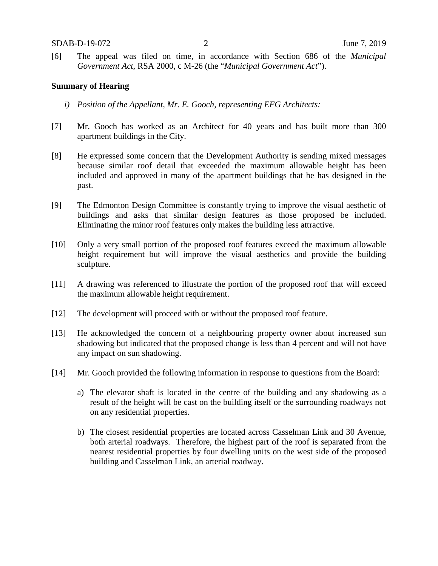[6] The appeal was filed on time, in accordance with Section 686 of the *Municipal Government Act*, RSA 2000, c M-26 (the "*Municipal Government Act*").

#### **Summary of Hearing**

- *i) Position of the Appellant, Mr. E. Gooch, representing EFG Architects:*
- [7] Mr. Gooch has worked as an Architect for 40 years and has built more than 300 apartment buildings in the City.
- [8] He expressed some concern that the Development Authority is sending mixed messages because similar roof detail that exceeded the maximum allowable height has been included and approved in many of the apartment buildings that he has designed in the past.
- [9] The Edmonton Design Committee is constantly trying to improve the visual aesthetic of buildings and asks that similar design features as those proposed be included. Eliminating the minor roof features only makes the building less attractive.
- [10] Only a very small portion of the proposed roof features exceed the maximum allowable height requirement but will improve the visual aesthetics and provide the building sculpture.
- [11] A drawing was referenced to illustrate the portion of the proposed roof that will exceed the maximum allowable height requirement.
- [12] The development will proceed with or without the proposed roof feature.
- [13] He acknowledged the concern of a neighbouring property owner about increased sun shadowing but indicated that the proposed change is less than 4 percent and will not have any impact on sun shadowing.
- [14] Mr. Gooch provided the following information in response to questions from the Board:
	- a) The elevator shaft is located in the centre of the building and any shadowing as a result of the height will be cast on the building itself or the surrounding roadways not on any residential properties.
	- b) The closest residential properties are located across Casselman Link and 30 Avenue, both arterial roadways. Therefore, the highest part of the roof is separated from the nearest residential properties by four dwelling units on the west side of the proposed building and Casselman Link, an arterial roadway.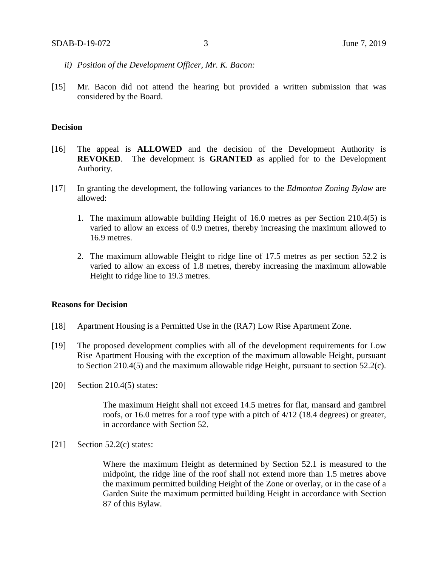- *ii) Position of the Development Officer, Mr. K. Bacon:*
- [15] Mr. Bacon did not attend the hearing but provided a written submission that was considered by the Board.

#### **Decision**

- [16] The appeal is **ALLOWED** and the decision of the Development Authority is **REVOKED**. The development is **GRANTED** as applied for to the Development Authority.
- [17] In granting the development, the following variances to the *Edmonton Zoning Bylaw* are allowed:
	- 1. The maximum allowable building Height of 16.0 metres as per Section 210.4(5) is varied to allow an excess of 0.9 metres, thereby increasing the maximum allowed to 16.9 metres.
	- 2. The maximum allowable Height to ridge line of 17.5 metres as per section 52.2 is varied to allow an excess of 1.8 metres, thereby increasing the maximum allowable Height to ridge line to 19.3 metres.

#### **Reasons for Decision**

- [18] Apartment Housing is a Permitted Use in the (RA7) Low Rise Apartment Zone.
- [19] The proposed development complies with all of the development requirements for Low Rise Apartment Housing with the exception of the maximum allowable Height, pursuant to Section 210.4(5) and the maximum allowable ridge Height, pursuant to section 52.2(c).
- [20] Section 210.4(5) states:

The maximum Height shall not exceed 14.5 metres for flat, mansard and gambrel roofs, or 16.0 metres for a roof type with a pitch of 4/12 (18.4 degrees) or greater, in accordance with Section 52.

[21] Section  $52.2(c)$  states:

Where the maximum Height as determined by Section 52.1 is measured to the midpoint, the ridge line of the roof shall not extend more than 1.5 metres above the maximum permitted building Height of the Zone or overlay, or in the case of a Garden Suite the maximum permitted building Height in accordance with Section 87 of this Bylaw.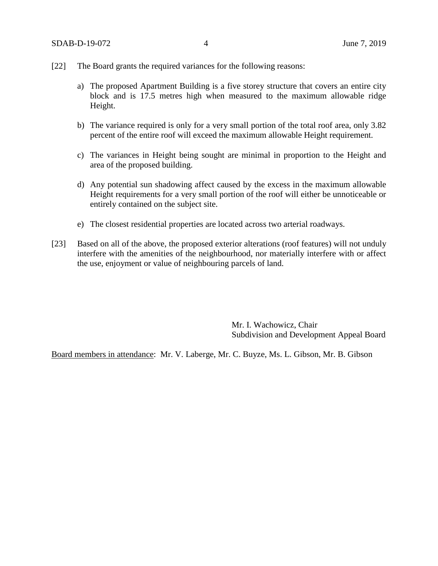- [22] The Board grants the required variances for the following reasons:
	- a) The proposed Apartment Building is a five storey structure that covers an entire city block and is 17.5 metres high when measured to the maximum allowable ridge Height.
	- b) The variance required is only for a very small portion of the total roof area, only 3.82 percent of the entire roof will exceed the maximum allowable Height requirement.
	- c) The variances in Height being sought are minimal in proportion to the Height and area of the proposed building.
	- d) Any potential sun shadowing affect caused by the excess in the maximum allowable Height requirements for a very small portion of the roof will either be unnoticeable or entirely contained on the subject site.
	- e) The closest residential properties are located across two arterial roadways.
- [23] Based on all of the above, the proposed exterior alterations (roof features) will not unduly interfere with the amenities of the neighbourhood, nor materially interfere with or affect the use, enjoyment or value of neighbouring parcels of land.

Mr. I. Wachowicz, Chair Subdivision and Development Appeal Board

Board members in attendance: Mr. V. Laberge, Mr. C. Buyze, Ms. L. Gibson, Mr. B. Gibson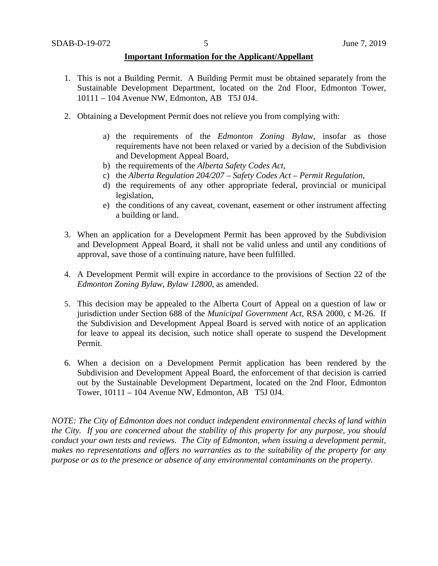#### **Important Information for the Applicant/Appellant**

- 1. This is not a Building Permit. A Building Permit must be obtained separately from the Sustainable Development Department, located on the 2nd Floor, Edmonton Tower, 10111 – 104 Avenue NW, Edmonton, AB T5J 0J4.
- 2. Obtaining a Development Permit does not relieve you from complying with:
	- a) the requirements of the *Edmonton Zoning Bylaw*, insofar as those requirements have not been relaxed or varied by a decision of the Subdivision and Development Appeal Board,
	- b) the requirements of the *Alberta Safety Codes Act*,
	- c) the *Alberta Regulation 204/207 – Safety Codes Act – Permit Regulation*,
	- d) the requirements of any other appropriate federal, provincial or municipal legislation,
	- e) the conditions of any caveat, covenant, easement or other instrument affecting a building or land.
- 3. When an application for a Development Permit has been approved by the Subdivision and Development Appeal Board, it shall not be valid unless and until any conditions of approval, save those of a continuing nature, have been fulfilled.
- 4. A Development Permit will expire in accordance to the provisions of Section 22 of the *Edmonton Zoning Bylaw, Bylaw 12800*, as amended.
- 5. This decision may be appealed to the Alberta Court of Appeal on a question of law or jurisdiction under Section 688 of the *Municipal Government Act*, RSA 2000, c M-26. If the Subdivision and Development Appeal Board is served with notice of an application for leave to appeal its decision, such notice shall operate to suspend the Development Permit.
- 6. When a decision on a Development Permit application has been rendered by the Subdivision and Development Appeal Board, the enforcement of that decision is carried out by the Sustainable Development Department, located on the 2nd Floor, Edmonton Tower, 10111 – 104 Avenue NW, Edmonton, AB T5J 0J4.

*NOTE: The City of Edmonton does not conduct independent environmental checks of land within the City. If you are concerned about the stability of this property for any purpose, you should conduct your own tests and reviews. The City of Edmonton, when issuing a development permit, makes no representations and offers no warranties as to the suitability of the property for any purpose or as to the presence or absence of any environmental contaminants on the property.*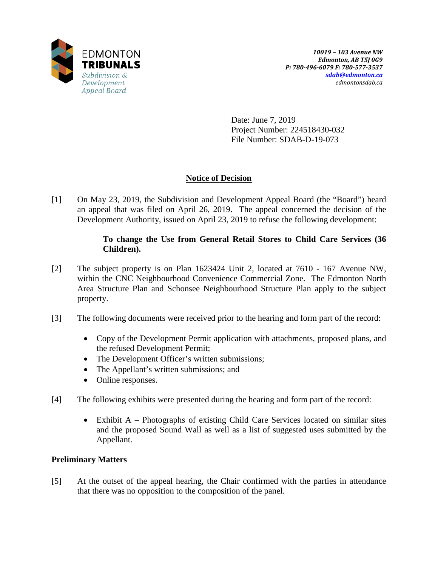

Date: June 7, 2019 Project Number: 224518430-032 File Number: SDAB-D-19-073

## **Notice of Decision**

[1] On May 23, 2019, the Subdivision and Development Appeal Board (the "Board") heard an appeal that was filed on April 26, 2019. The appeal concerned the decision of the Development Authority, issued on April 23, 2019 to refuse the following development:

### **To change the Use from General Retail Stores to Child Care Services (36 Children).**

- [2] The subject property is on Plan 1623424 Unit 2, located at 7610 167 Avenue NW, within the CNC Neighbourhood Convenience Commercial Zone. The Edmonton North Area Structure Plan and Schonsee Neighbourhood Structure Plan apply to the subject property.
- [3] The following documents were received prior to the hearing and form part of the record:
	- Copy of the Development Permit application with attachments, proposed plans, and the refused Development Permit;
	- The Development Officer's written submissions;
	- The Appellant's written submissions; and
	- Online responses.
- [4] The following exhibits were presented during the hearing and form part of the record:
	- Exhibit A Photographs of existing Child Care Services located on similar sites and the proposed Sound Wall as well as a list of suggested uses submitted by the Appellant.

## **Preliminary Matters**

[5] At the outset of the appeal hearing, the Chair confirmed with the parties in attendance that there was no opposition to the composition of the panel.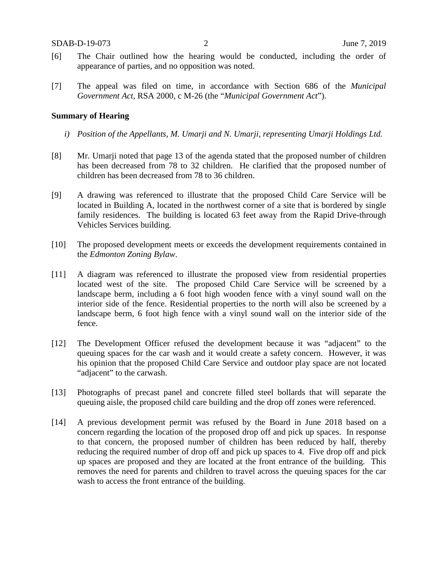- [6] The Chair outlined how the hearing would be conducted, including the order of appearance of parties, and no opposition was noted.
- [7] The appeal was filed on time, in accordance with Section 686 of the *Municipal Government Act*, RSA 2000, c M-26 (the "*Municipal Government Act*").

#### **Summary of Hearing**

- *i) Position of the Appellants, M. Umarji and N. Umarji, representing Umarji Holdings Ltd.*
- [8] Mr. Umarji noted that page 13 of the agenda stated that the proposed number of children has been decreased from 78 to 32 children. He clarified that the proposed number of children has been decreased from 78 to 36 children.
- [9] A drawing was referenced to illustrate that the proposed Child Care Service will be located in Building A, located in the northwest corner of a site that is bordered by single family residences. The building is located 63 feet away from the Rapid Drive-through Vehicles Services building.
- [10] The proposed development meets or exceeds the development requirements contained in the *Edmonton Zoning Bylaw*.
- [11] A diagram was referenced to illustrate the proposed view from residential properties located west of the site. The proposed Child Care Service will be screened by a landscape berm, including a 6 foot high wooden fence with a vinyl sound wall on the interior side of the fence. Residential properties to the north will also be screened by a landscape berm, 6 foot high fence with a vinyl sound wall on the interior side of the fence.
- [12] The Development Officer refused the development because it was "adjacent" to the queuing spaces for the car wash and it would create a safety concern. However, it was his opinion that the proposed Child Care Service and outdoor play space are not located "adjacent" to the carwash.
- [13] Photographs of precast panel and concrete filled steel bollards that will separate the queuing aisle, the proposed child care building and the drop off zones were referenced.
- [14] A previous development permit was refused by the Board in June 2018 based on a concern regarding the location of the proposed drop off and pick up spaces. In response to that concern, the proposed number of children has been reduced by half, thereby reducing the required number of drop off and pick up spaces to 4. Five drop off and pick up spaces are proposed and they are located at the front entrance of the building. This removes the need for parents and children to travel across the queuing spaces for the car wash to access the front entrance of the building.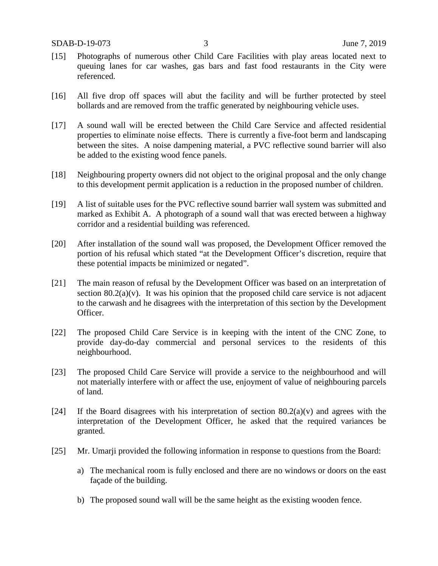- [15] Photographs of numerous other Child Care Facilities with play areas located next to queuing lanes for car washes, gas bars and fast food restaurants in the City were referenced.
- [16] All five drop off spaces will abut the facility and will be further protected by steel bollards and are removed from the traffic generated by neighbouring vehicle uses.
- [17] A sound wall will be erected between the Child Care Service and affected residential properties to eliminate noise effects. There is currently a five-foot berm and landscaping between the sites. A noise dampening material, a PVC reflective sound barrier will also be added to the existing wood fence panels.
- [18] Neighbouring property owners did not object to the original proposal and the only change to this development permit application is a reduction in the proposed number of children.
- [19] A list of suitable uses for the PVC reflective sound barrier wall system was submitted and marked as Exhibit A. A photograph of a sound wall that was erected between a highway corridor and a residential building was referenced.
- [20] After installation of the sound wall was proposed, the Development Officer removed the portion of his refusal which stated "at the Development Officer's discretion, require that these potential impacts be minimized or negated".
- [21] The main reason of refusal by the Development Officer was based on an interpretation of section  $80.2(a)(v)$ . It was his opinion that the proposed child care service is not adjacent to the carwash and he disagrees with the interpretation of this section by the Development Officer.
- [22] The proposed Child Care Service is in keeping with the intent of the CNC Zone, to provide day-do-day commercial and personal services to the residents of this neighbourhood.
- [23] The proposed Child Care Service will provide a service to the neighbourhood and will not materially interfere with or affect the use, enjoyment of value of neighbouring parcels of land.
- [24] If the Board disagrees with his interpretation of section  $80.2(a)(v)$  and agrees with the interpretation of the Development Officer, he asked that the required variances be granted.
- [25] Mr. Umarji provided the following information in response to questions from the Board:
	- a) The mechanical room is fully enclosed and there are no windows or doors on the east façade of the building.
	- b) The proposed sound wall will be the same height as the existing wooden fence.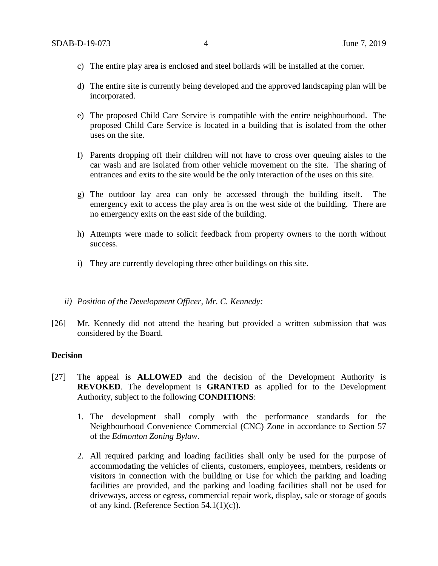- c) The entire play area is enclosed and steel bollards will be installed at the corner.
- d) The entire site is currently being developed and the approved landscaping plan will be incorporated.
- e) The proposed Child Care Service is compatible with the entire neighbourhood. The proposed Child Care Service is located in a building that is isolated from the other uses on the site.
- f) Parents dropping off their children will not have to cross over queuing aisles to the car wash and are isolated from other vehicle movement on the site. The sharing of entrances and exits to the site would be the only interaction of the uses on this site.
- g) The outdoor lay area can only be accessed through the building itself. The emergency exit to access the play area is on the west side of the building. There are no emergency exits on the east side of the building.
- h) Attempts were made to solicit feedback from property owners to the north without success.
- i) They are currently developing three other buildings on this site.
- *ii) Position of the Development Officer, Mr. C. Kennedy:*
- [26] Mr. Kennedy did not attend the hearing but provided a written submission that was considered by the Board.

#### **Decision**

- [27] The appeal is **ALLOWED** and the decision of the Development Authority is **REVOKED**. The development is **GRANTED** as applied for to the Development Authority, subject to the following **CONDITIONS**:
	- 1. The development shall comply with the performance standards for the Neighbourhood Convenience Commercial (CNC) Zone in accordance to Section 57 of the *Edmonton Zoning Bylaw*.
	- 2. All required parking and loading facilities shall only be used for the purpose of accommodating the vehicles of clients, customers, employees, members, residents or visitors in connection with the building or Use for which the parking and loading facilities are provided, and the parking and loading facilities shall not be used for driveways, access or egress, commercial repair work, display, sale or storage of goods of any kind. (Reference Section 54.1(1)(c)).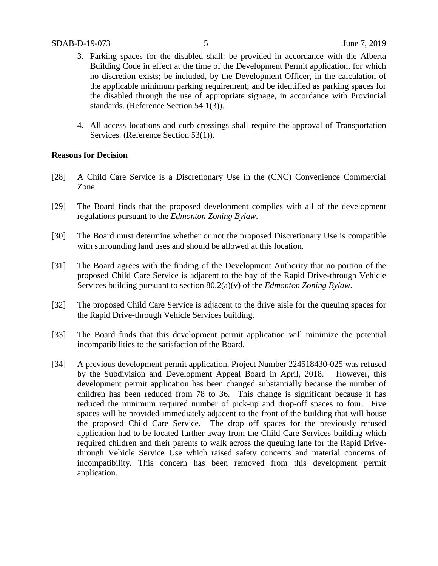- 3. Parking spaces for the disabled shall: be provided in accordance with the Alberta Building Code in effect at the time of the Development Permit application, for which no discretion exists; be included, by the Development Officer, in the calculation of the applicable minimum parking requirement; and be identified as parking spaces for the disabled through the use of appropriate signage, in accordance with Provincial standards. (Reference Section 54.1(3)).
- 4. All access locations and curb crossings shall require the approval of Transportation Services. (Reference Section 53(1)).

#### **Reasons for Decision**

- [28] A Child Care Service is a Discretionary Use in the (CNC) Convenience Commercial Zone.
- [29] The Board finds that the proposed development complies with all of the development regulations pursuant to the *Edmonton Zoning Bylaw*.
- [30] The Board must determine whether or not the proposed Discretionary Use is compatible with surrounding land uses and should be allowed at this location.
- [31] The Board agrees with the finding of the Development Authority that no portion of the proposed Child Care Service is adjacent to the bay of the Rapid Drive-through Vehicle Services building pursuant to section 80.2(a)(v) of the *Edmonton Zoning Bylaw*.
- [32] The proposed Child Care Service is adjacent to the drive aisle for the queuing spaces for the Rapid Drive-through Vehicle Services building.
- [33] The Board finds that this development permit application will minimize the potential incompatibilities to the satisfaction of the Board.
- [34] A previous development permit application, Project Number 224518430-025 was refused by the Subdivision and Development Appeal Board in April, 2018. However, this development permit application has been changed substantially because the number of children has been reduced from 78 to 36. This change is significant because it has reduced the minimum required number of pick-up and drop-off spaces to four. Five spaces will be provided immediately adjacent to the front of the building that will house the proposed Child Care Service. The drop off spaces for the previously refused application had to be located further away from the Child Care Services building which required children and their parents to walk across the queuing lane for the Rapid Drivethrough Vehicle Service Use which raised safety concerns and material concerns of incompatibility. This concern has been removed from this development permit application.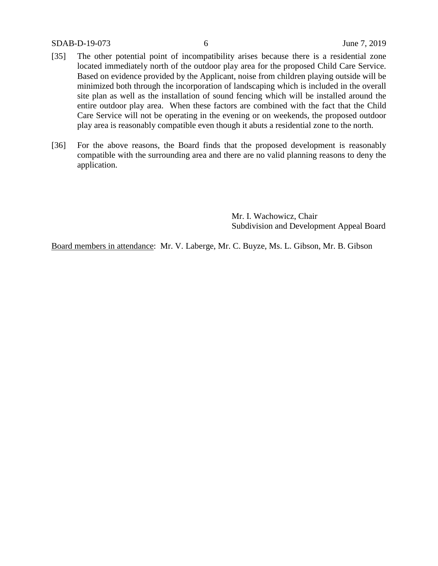#### SDAB-D-19-073 6 June 7, 2019

- [35] The other potential point of incompatibility arises because there is a residential zone located immediately north of the outdoor play area for the proposed Child Care Service. Based on evidence provided by the Applicant, noise from children playing outside will be minimized both through the incorporation of landscaping which is included in the overall site plan as well as the installation of sound fencing which will be installed around the entire outdoor play area. When these factors are combined with the fact that the Child Care Service will not be operating in the evening or on weekends, the proposed outdoor play area is reasonably compatible even though it abuts a residential zone to the north.
- [36] For the above reasons, the Board finds that the proposed development is reasonably compatible with the surrounding area and there are no valid planning reasons to deny the application.

Mr. I. Wachowicz, Chair Subdivision and Development Appeal Board

Board members in attendance: Mr. V. Laberge, Mr. C. Buyze, Ms. L. Gibson, Mr. B. Gibson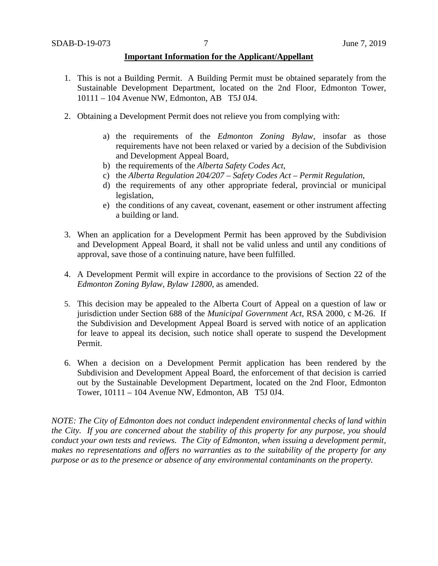#### **Important Information for the Applicant/Appellant**

- 1. This is not a Building Permit. A Building Permit must be obtained separately from the Sustainable Development Department, located on the 2nd Floor, Edmonton Tower, 10111 – 104 Avenue NW, Edmonton, AB T5J 0J4.
- 2. Obtaining a Development Permit does not relieve you from complying with:
	- a) the requirements of the *Edmonton Zoning Bylaw*, insofar as those requirements have not been relaxed or varied by a decision of the Subdivision and Development Appeal Board,
	- b) the requirements of the *Alberta Safety Codes Act*,
	- c) the *Alberta Regulation 204/207 – Safety Codes Act – Permit Regulation*,
	- d) the requirements of any other appropriate federal, provincial or municipal legislation,
	- e) the conditions of any caveat, covenant, easement or other instrument affecting a building or land.
- 3. When an application for a Development Permit has been approved by the Subdivision and Development Appeal Board, it shall not be valid unless and until any conditions of approval, save those of a continuing nature, have been fulfilled.
- 4. A Development Permit will expire in accordance to the provisions of Section 22 of the *Edmonton Zoning Bylaw, Bylaw 12800*, as amended.
- 5. This decision may be appealed to the Alberta Court of Appeal on a question of law or jurisdiction under Section 688 of the *Municipal Government Act*, RSA 2000, c M-26. If the Subdivision and Development Appeal Board is served with notice of an application for leave to appeal its decision, such notice shall operate to suspend the Development Permit.
- 6. When a decision on a Development Permit application has been rendered by the Subdivision and Development Appeal Board, the enforcement of that decision is carried out by the Sustainable Development Department, located on the 2nd Floor, Edmonton Tower, 10111 – 104 Avenue NW, Edmonton, AB T5J 0J4.

*NOTE: The City of Edmonton does not conduct independent environmental checks of land within the City. If you are concerned about the stability of this property for any purpose, you should conduct your own tests and reviews. The City of Edmonton, when issuing a development permit, makes no representations and offers no warranties as to the suitability of the property for any purpose or as to the presence or absence of any environmental contaminants on the property.*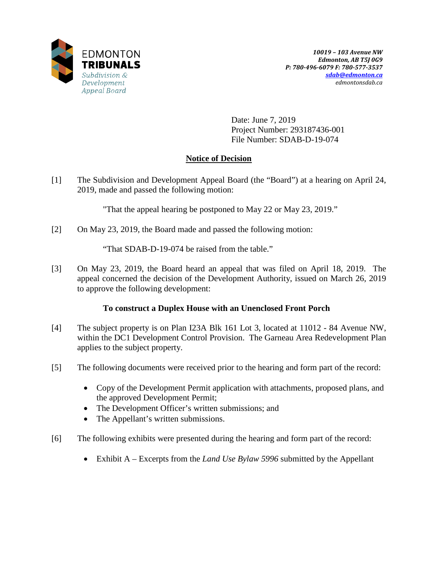

Date: June 7, 2019 Project Number: 293187436-001 File Number: SDAB-D-19-074

# **Notice of Decision**

[1] The Subdivision and Development Appeal Board (the "Board") at a hearing on April 24, 2019, made and passed the following motion:

"That the appeal hearing be postponed to May 22 or May 23, 2019."

[2] On May 23, 2019, the Board made and passed the following motion:

"That SDAB-D-19-074 be raised from the table."

[3] On May 23, 2019, the Board heard an appeal that was filed on April 18, 2019. The appeal concerned the decision of the Development Authority, issued on March 26, 2019 to approve the following development:

# **To construct a Duplex House with an Unenclosed Front Porch**

- [4] The subject property is on Plan I23A Blk 161 Lot 3, located at 11012 84 Avenue NW, within the DC1 Development Control Provision. The Garneau Area Redevelopment Plan applies to the subject property.
- [5] The following documents were received prior to the hearing and form part of the record:
	- Copy of the Development Permit application with attachments, proposed plans, and the approved Development Permit;
	- The Development Officer's written submissions; and
	- The Appellant's written submissions.
- [6] The following exhibits were presented during the hearing and form part of the record:
	- Exhibit A Excerpts from the *Land Use Bylaw 5996* submitted by the Appellant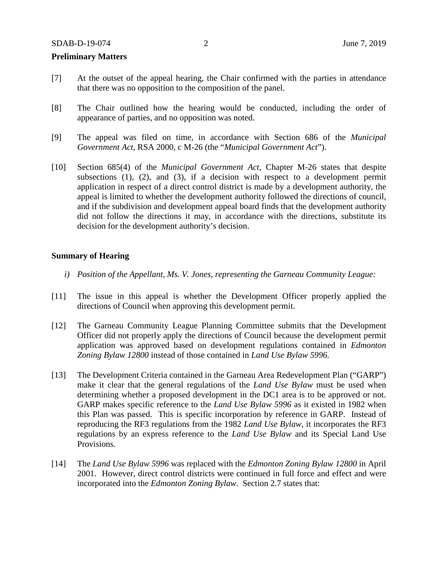#### **Preliminary Matters**

- [7] At the outset of the appeal hearing, the Chair confirmed with the parties in attendance that there was no opposition to the composition of the panel.
- [8] The Chair outlined how the hearing would be conducted, including the order of appearance of parties, and no opposition was noted.
- [9] The appeal was filed on time, in accordance with Section 686 of the *Municipal Government Act*, RSA 2000, c M-26 (the "*Municipal Government Act*").
- [10] Section 685(4) of the *Municipal Government Act*, Chapter M-26 states that despite subsections  $(1)$ ,  $(2)$ , and  $(3)$ , if a decision with respect to a development permit application in respect of a direct control district is made by a development authority, the appeal is limited to whether the development authority followed the directions of council, and if the subdivision and development appeal board finds that the development authority did not follow the directions it may, in accordance with the directions, substitute its decision for the development authority's decision.

#### **Summary of Hearing**

- *i) Position of the Appellant, Ms. V. Jones, representing the Garneau Community League:*
- [11] The issue in this appeal is whether the Development Officer properly applied the directions of Council when approving this development permit.
- [12] The Garneau Community League Planning Committee submits that the Development Officer did not properly apply the directions of Council because the development permit application was approved based on development regulations contained in *Edmonton Zoning Bylaw 12800* instead of those contained in *Land Use Bylaw 5996.*
- [13] The Development Criteria contained in the Garneau Area Redevelopment Plan ("GARP") make it clear that the general regulations of the *Land Use Bylaw* must be used when determining whether a proposed development in the DC1 area is to be approved or not. GARP makes specific reference to the *Land Use Bylaw 5996* as it existed in 1982 when this Plan was passed. This is specific incorporation by reference in GARP. Instead of reproducing the RF3 regulations from the 1982 *Land Use Bylaw*, it incorporates the RF3 regulations by an express reference to the *Land Use Bylaw* and its Special Land Use Provisions.
- [14] The *Land Use Bylaw 5996* was replaced with the *Edmonton Zoning Bylaw 12800* in April 2001. However, direct control districts were continued in full force and effect and were incorporated into the *Edmonton Zoning Bylaw*. Section 2.7 states that: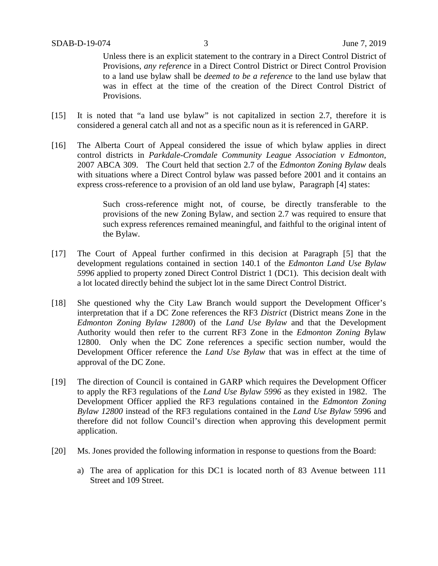Unless there is an explicit statement to the contrary in a Direct Control District of Provisions, *any reference* in a Direct Control District or Direct Control Provision to a land use bylaw shall be *deemed to be a reference* to the land use bylaw that was in effect at the time of the creation of the Direct Control District of Provisions.

- [15] It is noted that "a land use bylaw" is not capitalized in section 2.7, therefore it is considered a general catch all and not as a specific noun as it is referenced in GARP.
- [16] The Alberta Court of Appeal considered the issue of which bylaw applies in direct control districts in *Parkdale-Cromdale Community League Association v Edmonton*, 2007 ABCA 309. The Court held that section 2.7 of the *Edmonton Zoning Bylaw* deals with situations where a Direct Control bylaw was passed before 2001 and it contains an express cross-reference to a provision of an old land use bylaw, Paragraph [4] states:

Such cross-reference might not, of course, be directly transferable to the provisions of the new Zoning Bylaw, and section 2.7 was required to ensure that such express references remained meaningful, and faithful to the original intent of the Bylaw.

- [17] The Court of Appeal further confirmed in this decision at Paragraph [5] that the development regulations contained in section 140.1 of the *Edmonton Land Use Bylaw 5996* applied to property zoned Direct Control District 1 (DC1). This decision dealt with a lot located directly behind the subject lot in the same Direct Control District.
- [18] She questioned why the City Law Branch would support the Development Officer's interpretation that if a DC Zone references the RF3 *District* (District means Zone in the *Edmonton Zoning Bylaw 12800*) of the *Land Use Bylaw* and that the Development Authority would then refer to the current RF3 Zone in the *Edmonton Zoning B*ylaw 12800. Only when the DC Zone references a specific section number, would the Development Officer reference the *Land Use Bylaw* that was in effect at the time of approval of the DC Zone.
- [19] The direction of Council is contained in GARP which requires the Development Officer to apply the RF3 regulations of the *Land Use Bylaw 5996* as they existed in 1982. The Development Officer applied the RF3 regulations contained in the *Edmonton Zoning Bylaw 12800* instead of the RF3 regulations contained in the *Land Use Bylaw* 5996 and therefore did not follow Council's direction when approving this development permit application.
- [20] Ms. Jones provided the following information in response to questions from the Board:
	- a) The area of application for this DC1 is located north of 83 Avenue between 111 Street and 109 Street.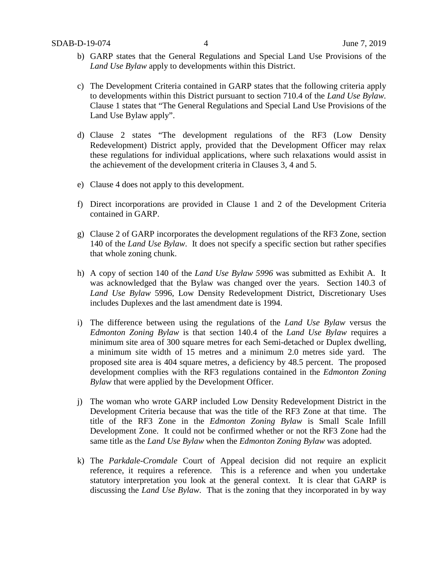- b) GARP states that the General Regulations and Special Land Use Provisions of the *Land Use Bylaw* apply to developments within this District.
- c) The Development Criteria contained in GARP states that the following criteria apply to developments within this District pursuant to section 710.4 of the *Land Use Bylaw.* Clause 1 states that "The General Regulations and Special Land Use Provisions of the Land Use Bylaw apply".
- d) Clause 2 states "The development regulations of the RF3 (Low Density Redevelopment) District apply, provided that the Development Officer may relax these regulations for individual applications, where such relaxations would assist in the achievement of the development criteria in Clauses 3, 4 and 5.
- e) Clause 4 does not apply to this development.
- f) Direct incorporations are provided in Clause 1 and 2 of the Development Criteria contained in GARP.
- g) Clause 2 of GARP incorporates the development regulations of the RF3 Zone, section 140 of the *Land Use Bylaw*. It does not specify a specific section but rather specifies that whole zoning chunk.
- h) A copy of section 140 of the *Land Use Bylaw 5996* was submitted as Exhibit A. It was acknowledged that the Bylaw was changed over the years. Section 140.3 of *Land Use Bylaw* 5996, Low Density Redevelopment District, Discretionary Uses includes Duplexes and the last amendment date is 1994.
- i) The difference between using the regulations of the *Land Use Bylaw* versus the *Edmonton Zoning Bylaw* is that section 140.4 of the *Land Use Bylaw* requires a minimum site area of 300 square metres for each Semi-detached or Duplex dwelling, a minimum site width of 15 metres and a minimum 2.0 metres side yard. The proposed site area is 404 square metres, a deficiency by 48.5 percent. The proposed development complies with the RF3 regulations contained in the *Edmonton Zoning Bylaw* that were applied by the Development Officer.
- j) The woman who wrote GARP included Low Density Redevelopment District in the Development Criteria because that was the title of the RF3 Zone at that time. The title of the RF3 Zone in the *Edmonton Zoning Bylaw* is Small Scale Infill Development Zone. It could not be confirmed whether or not the RF3 Zone had the same title as the *Land Use Bylaw* when the *Edmonton Zoning Bylaw* was adopted.
- k) The *Parkdale-Cromdale* Court of Appeal decision did not require an explicit reference, it requires a reference. This is a reference and when you undertake statutory interpretation you look at the general context. It is clear that GARP is discussing the *Land Use Bylaw*. That is the zoning that they incorporated in by way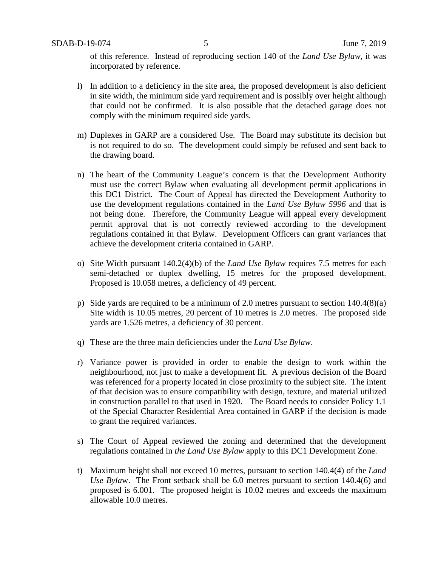of this reference. Instead of reproducing section 140 of the *Land Use Bylaw*, it was incorporated by reference.

- l) In addition to a deficiency in the site area, the proposed development is also deficient in site width, the minimum side yard requirement and is possibly over height although that could not be confirmed. It is also possible that the detached garage does not comply with the minimum required side yards.
- m) Duplexes in GARP are a considered Use. The Board may substitute its decision but is not required to do so. The development could simply be refused and sent back to the drawing board.
- n) The heart of the Community League's concern is that the Development Authority must use the correct Bylaw when evaluating all development permit applications in this DC1 District. The Court of Appeal has directed the Development Authority to use the development regulations contained in the *Land Use Bylaw 5996* and that is not being done. Therefore, the Community League will appeal every development permit approval that is not correctly reviewed according to the development regulations contained in that Bylaw. Development Officers can grant variances that achieve the development criteria contained in GARP.
- o) Site Width pursuant 140.2(4)(b) of the *Land Use Bylaw* requires 7.5 metres for each semi-detached or duplex dwelling, 15 metres for the proposed development. Proposed is 10.058 metres, a deficiency of 49 percent.
- p) Side yards are required to be a minimum of 2.0 metres pursuant to section 140.4(8)(a) Site width is 10.05 metres, 20 percent of 10 metres is 2.0 metres. The proposed side yards are 1.526 metres, a deficiency of 30 percent.
- q) These are the three main deficiencies under the *Land Use Bylaw*.
- r) Variance power is provided in order to enable the design to work within the neighbourhood, not just to make a development fit. A previous decision of the Board was referenced for a property located in close proximity to the subject site. The intent of that decision was to ensure compatibility with design, texture, and material utilized in construction parallel to that used in 1920. The Board needs to consider Policy 1.1 of the Special Character Residential Area contained in GARP if the decision is made to grant the required variances.
- s) The Court of Appeal reviewed the zoning and determined that the development regulations contained in *the Land Use Bylaw* apply to this DC1 Development Zone.
- t) Maximum height shall not exceed 10 metres, pursuant to section 140.4(4) of the *Land Use Byla*w. The Front setback shall be 6.0 metres pursuant to section 140.4(6) and proposed is 6.001. The proposed height is 10.02 metres and exceeds the maximum allowable 10.0 metres.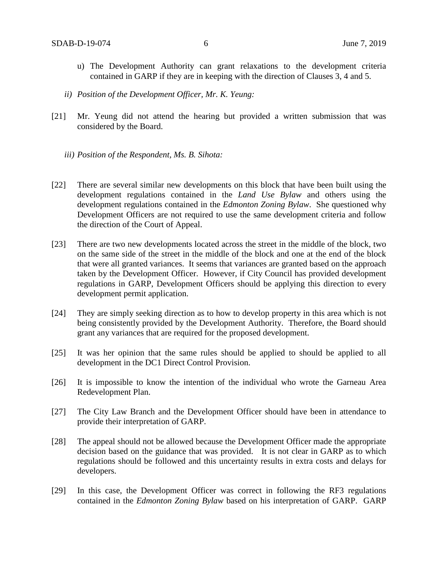- u) The Development Authority can grant relaxations to the development criteria contained in GARP if they are in keeping with the direction of Clauses 3, 4 and 5.
- *ii) Position of the Development Officer, Mr. K. Yeung:*
- [21] Mr. Yeung did not attend the hearing but provided a written submission that was considered by the Board.
	- *iii) Position of the Respondent, Ms. B. Sihota:*
- [22] There are several similar new developments on this block that have been built using the development regulations contained in the *Land Use Bylaw* and others using the development regulations contained in the *Edmonton Zoning Bylaw*. She questioned why Development Officers are not required to use the same development criteria and follow the direction of the Court of Appeal.
- [23] There are two new developments located across the street in the middle of the block, two on the same side of the street in the middle of the block and one at the end of the block that were all granted variances. It seems that variances are granted based on the approach taken by the Development Officer. However, if City Council has provided development regulations in GARP, Development Officers should be applying this direction to every development permit application.
- [24] They are simply seeking direction as to how to develop property in this area which is not being consistently provided by the Development Authority. Therefore, the Board should grant any variances that are required for the proposed development.
- [25] It was her opinion that the same rules should be applied to should be applied to all development in the DC1 Direct Control Provision.
- [26] It is impossible to know the intention of the individual who wrote the Garneau Area Redevelopment Plan.
- [27] The City Law Branch and the Development Officer should have been in attendance to provide their interpretation of GARP.
- [28] The appeal should not be allowed because the Development Officer made the appropriate decision based on the guidance that was provided. It is not clear in GARP as to which regulations should be followed and this uncertainty results in extra costs and delays for developers.
- [29] In this case, the Development Officer was correct in following the RF3 regulations contained in the *Edmonton Zoning Bylaw* based on his interpretation of GARP. GARP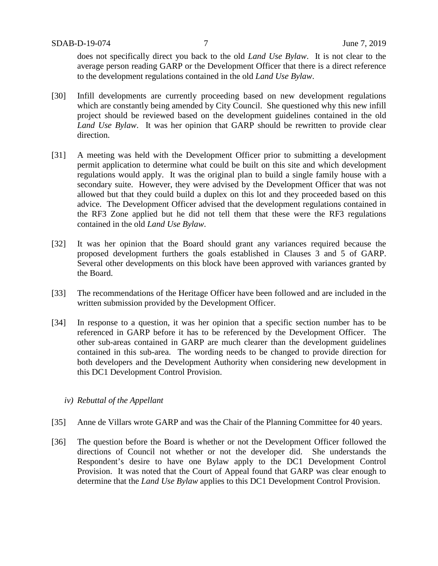does not specifically direct you back to the old *Land Use Bylaw*. It is not clear to the average person reading GARP or the Development Officer that there is a direct reference to the development regulations contained in the old *Land Use Bylaw*.

- [30] Infill developments are currently proceeding based on new development regulations which are constantly being amended by City Council. She questioned why this new infill project should be reviewed based on the development guidelines contained in the old *Land Use Bylaw*. It was her opinion that GARP should be rewritten to provide clear direction.
- [31] A meeting was held with the Development Officer prior to submitting a development permit application to determine what could be built on this site and which development regulations would apply. It was the original plan to build a single family house with a secondary suite. However, they were advised by the Development Officer that was not allowed but that they could build a duplex on this lot and they proceeded based on this advice. The Development Officer advised that the development regulations contained in the RF3 Zone applied but he did not tell them that these were the RF3 regulations contained in the old *Land Use Bylaw*.
- [32] It was her opinion that the Board should grant any variances required because the proposed development furthers the goals established in Clauses 3 and 5 of GARP. Several other developments on this block have been approved with variances granted by the Board.
- [33] The recommendations of the Heritage Officer have been followed and are included in the written submission provided by the Development Officer.
- [34] In response to a question, it was her opinion that a specific section number has to be referenced in GARP before it has to be referenced by the Development Officer. The other sub-areas contained in GARP are much clearer than the development guidelines contained in this sub-area. The wording needs to be changed to provide direction for both developers and the Development Authority when considering new development in this DC1 Development Control Provision.

#### *iv) Rebuttal of the Appellant*

- [35] Anne de Villars wrote GARP and was the Chair of the Planning Committee for 40 years.
- [36] The question before the Board is whether or not the Development Officer followed the directions of Council not whether or not the developer did. She understands the Respondent's desire to have one Bylaw apply to the DC1 Development Control Provision. It was noted that the Court of Appeal found that GARP was clear enough to determine that the *Land Use Bylaw* applies to this DC1 Development Control Provision.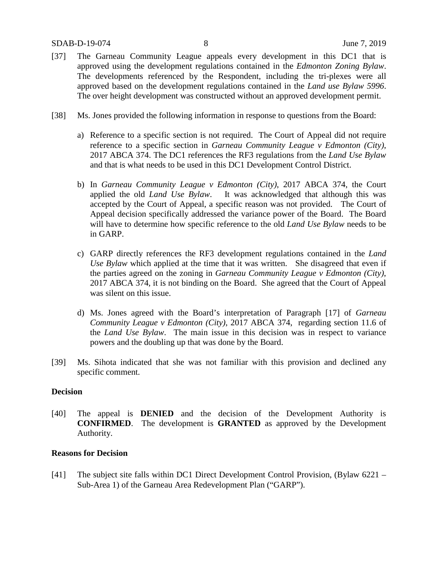#### SDAB-D-19-074 8 June 7, 2019

- [37] The Garneau Community League appeals every development in this DC1 that is approved using the development regulations contained in the *Edmonton Zoning Bylaw*. The developments referenced by the Respondent, including the tri-plexes were all approved based on the development regulations contained in the *Land use Bylaw 5996*. The over height development was constructed without an approved development permit.
- [38] Ms. Jones provided the following information in response to questions from the Board:
	- a) Reference to a specific section is not required. The Court of Appeal did not require reference to a specific section in *Garneau Community League v Edmonton (City)*, 2017 ABCA 374. The DC1 references the RF3 regulations from the *Land Use Bylaw* and that is what needs to be used in this DC1 Development Control District.
	- b) In *Garneau Community League v Edmonton (City)*, 2017 ABCA 374, the Court applied the old *Land Use Bylaw*. It was acknowledged that although this was accepted by the Court of Appeal, a specific reason was not provided. The Court of Appeal decision specifically addressed the variance power of the Board. The Board will have to determine how specific reference to the old *Land Use Bylaw* needs to be in GARP.
	- c) GARP directly references the RF3 development regulations contained in the *Land Use Bylaw* which applied at the time that it was written. She disagreed that even if the parties agreed on the zoning in *Garneau Community League v Edmonton (City)*, 2017 ABCA 374, it is not binding on the Board. She agreed that the Court of Appeal was silent on this issue.
	- d) Ms. Jones agreed with the Board's interpretation of Paragraph [17] of *Garneau Community League v Edmonton (City)*, 2017 ABCA 374, regarding section 11.6 of the *Land Use Bylaw*. The main issue in this decision was in respect to variance powers and the doubling up that was done by the Board.
- [39] Ms. Sihota indicated that she was not familiar with this provision and declined any specific comment.

#### **Decision**

[40] The appeal is **DENIED** and the decision of the Development Authority is **CONFIRMED**. The development is **GRANTED** as approved by the Development Authority.

#### **Reasons for Decision**

[41] The subject site falls within DC1 Direct Development Control Provision, (Bylaw 6221 – Sub-Area 1) of the Garneau Area Redevelopment Plan ("GARP").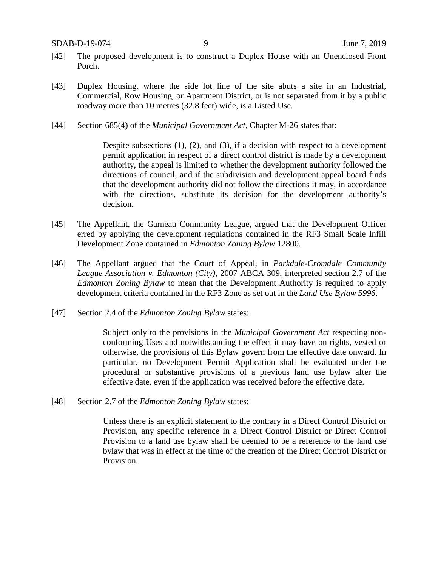- [42] The proposed development is to construct a Duplex House with an Unenclosed Front Porch.
- [43] Duplex Housing, where the side lot line of the site abuts a site in an Industrial, Commercial, Row Housing, or Apartment District, or is not separated from it by a public roadway more than 10 metres (32.8 feet) wide, is a Listed Use.
- [44] Section 685(4) of the *Municipal Government Act*, Chapter M-26 states that:

Despite subsections (1), (2), and (3), if a decision with respect to a development permit application in respect of a direct control district is made by a development authority, the appeal is limited to whether the development authority followed the directions of council, and if the subdivision and development appeal board finds that the development authority did not follow the directions it may, in accordance with the directions, substitute its decision for the development authority's decision.

- [45] The Appellant, the Garneau Community League, argued that the Development Officer erred by applying the development regulations contained in the RF3 Small Scale Infill Development Zone contained in *Edmonton Zoning Bylaw* 12800.
- [46] The Appellant argued that the Court of Appeal, in *Parkdale-Cromdale Community League Association v. Edmonton (City),* 2007 ABCA 309, interpreted section 2.7 of the *Edmonton Zoning Bylaw* to mean that the Development Authority is required to apply development criteria contained in the RF3 Zone as set out in the *Land Use Bylaw 5996*.
- [47] Section 2.4 of the *Edmonton Zoning Bylaw* states:

Subject only to the provisions in the *Municipal Government Act* respecting nonconforming Uses and notwithstanding the effect it may have on rights, vested or otherwise, the provisions of this Bylaw govern from the effective date onward. In particular, no Development Permit Application shall be evaluated under the procedural or substantive provisions of a previous land use bylaw after the effective date, even if the application was received before the effective date.

[48] Section 2.7 of the *Edmonton Zoning Bylaw* states:

Unless there is an explicit statement to the contrary in a Direct Control District or Provision, any specific reference in a Direct Control District or Direct Control Provision to a land use bylaw shall be deemed to be a reference to the land use bylaw that was in effect at the time of the creation of the Direct Control District or Provision.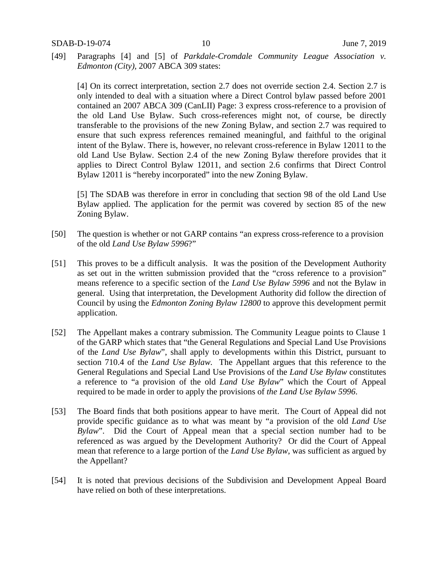[49] Paragraphs [4] and [5] of *Parkdale-Cromdale Community League Association v. Edmonton (City),* 2007 ABCA 309 states:

[4] On its correct interpretation, section 2.7 does not override section 2.4. Section 2.7 is only intended to deal with a situation where a Direct Control bylaw passed before 2001 contained an 2007 ABCA 309 (CanLII) Page: 3 express cross-reference to a provision of the old Land Use Bylaw. Such cross-references might not, of course, be directly transferable to the provisions of the new Zoning Bylaw, and section 2.7 was required to ensure that such express references remained meaningful, and faithful to the original intent of the Bylaw. There is, however, no relevant cross-reference in Bylaw 12011 to the old Land Use Bylaw. Section 2.4 of the new Zoning Bylaw therefore provides that it applies to Direct Control Bylaw 12011, and section 2.6 confirms that Direct Control Bylaw 12011 is "hereby incorporated" into the new Zoning Bylaw.

[5] The SDAB was therefore in error in concluding that section 98 of the old Land Use Bylaw applied. The application for the permit was covered by section 85 of the new Zoning Bylaw.

- [50] The question is whether or not GARP contains "an express cross-reference to a provision of the old *Land Use Bylaw 5996*?"
- [51] This proves to be a difficult analysis. It was the position of the Development Authority as set out in the written submission provided that the "cross reference to a provision" means reference to a specific section of the *Land Use Bylaw 5996* and not the Bylaw in general. Using that interpretation, the Development Authority did follow the direction of Council by using the *Edmonton Zoning Bylaw 12800* to approve this development permit application.
- [52] The Appellant makes a contrary submission. The Community League points to Clause 1 of the GARP which states that "the General Regulations and Special Land Use Provisions of the *Land Use Bylaw*", shall apply to developments within this District, pursuant to section 710.4 of the *Land Use Bylaw.* The Appellant argues that this reference to the General Regulations and Special Land Use Provisions of the *Land Use Bylaw* constitutes a reference to "a provision of the old *Land Use Bylaw*" which the Court of Appeal required to be made in order to apply the provisions of *the Land Use Bylaw 5996*.
- [53] The Board finds that both positions appear to have merit. The Court of Appeal did not provide specific guidance as to what was meant by "a provision of the old *Land Use Bylaw*". Did the Court of Appeal mean that a special section number had to be referenced as was argued by the Development Authority? Or did the Court of Appeal mean that reference to a large portion of the *Land Use Bylaw*, was sufficient as argued by the Appellant?
- [54] It is noted that previous decisions of the Subdivision and Development Appeal Board have relied on both of these interpretations.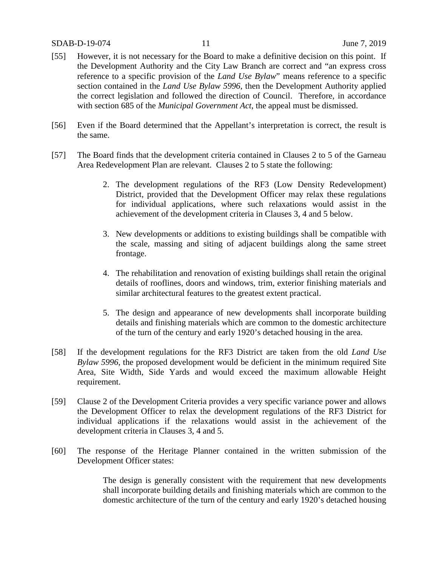#### SDAB-D-19-074 11 June 7, 2019

- [55] However, it is not necessary for the Board to make a definitive decision on this point. If the Development Authority and the City Law Branch are correct and "an express cross reference to a specific provision of the *Land Use Bylaw*" means reference to a specific section contained in the *Land Use Bylaw 5996*, then the Development Authority applied the correct legislation and followed the direction of Council. Therefore, in accordance with section 685 of the *Municipal Government Act*, the appeal must be dismissed.
- [56] Even if the Board determined that the Appellant's interpretation is correct, the result is the same.
- [57] The Board finds that the development criteria contained in Clauses 2 to 5 of the Garneau Area Redevelopment Plan are relevant. Clauses 2 to 5 state the following:
	- 2. The development regulations of the RF3 (Low Density Redevelopment) District, provided that the Development Officer may relax these regulations for individual applications, where such relaxations would assist in the achievement of the development criteria in Clauses 3, 4 and 5 below.
	- 3. New developments or additions to existing buildings shall be compatible with the scale, massing and siting of adjacent buildings along the same street frontage.
	- 4. The rehabilitation and renovation of existing buildings shall retain the original details of rooflines, doors and windows, trim, exterior finishing materials and similar architectural features to the greatest extent practical.
	- 5. The design and appearance of new developments shall incorporate building details and finishing materials which are common to the domestic architecture of the turn of the century and early 1920's detached housing in the area.
- [58] If the development regulations for the RF3 District are taken from the old *Land Use Bylaw 5996*, the proposed development would be deficient in the minimum required Site Area, Site Width, Side Yards and would exceed the maximum allowable Height requirement.
- [59] Clause 2 of the Development Criteria provides a very specific variance power and allows the Development Officer to relax the development regulations of the RF3 District for individual applications if the relaxations would assist in the achievement of the development criteria in Clauses 3, 4 and 5.
- [60] The response of the Heritage Planner contained in the written submission of the Development Officer states:

The design is generally consistent with the requirement that new developments shall incorporate building details and finishing materials which are common to the domestic architecture of the turn of the century and early 1920's detached housing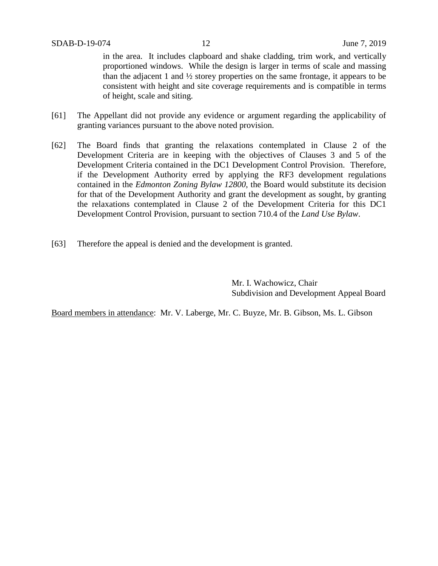in the area. It includes clapboard and shake cladding, trim work, and vertically proportioned windows. While the design is larger in terms of scale and massing than the adjacent 1 and  $\frac{1}{2}$  storey properties on the same frontage, it appears to be consistent with height and site coverage requirements and is compatible in terms of height, scale and siting.

- [61] The Appellant did not provide any evidence or argument regarding the applicability of granting variances pursuant to the above noted provision.
- [62] The Board finds that granting the relaxations contemplated in Clause 2 of the Development Criteria are in keeping with the objectives of Clauses 3 and 5 of the Development Criteria contained in the DC1 Development Control Provision. Therefore, if the Development Authority erred by applying the RF3 development regulations contained in the *Edmonton Zoning Bylaw 12800*, the Board would substitute its decision for that of the Development Authority and grant the development as sought, by granting the relaxations contemplated in Clause 2 of the Development Criteria for this DC1 Development Control Provision, pursuant to section 710.4 of the *Land Use Bylaw*.
- [63] Therefore the appeal is denied and the development is granted.

Mr. I. Wachowicz, Chair Subdivision and Development Appeal Board

Board members in attendance: Mr. V. Laberge, Mr. C. Buyze, Mr. B. Gibson, Ms. L. Gibson